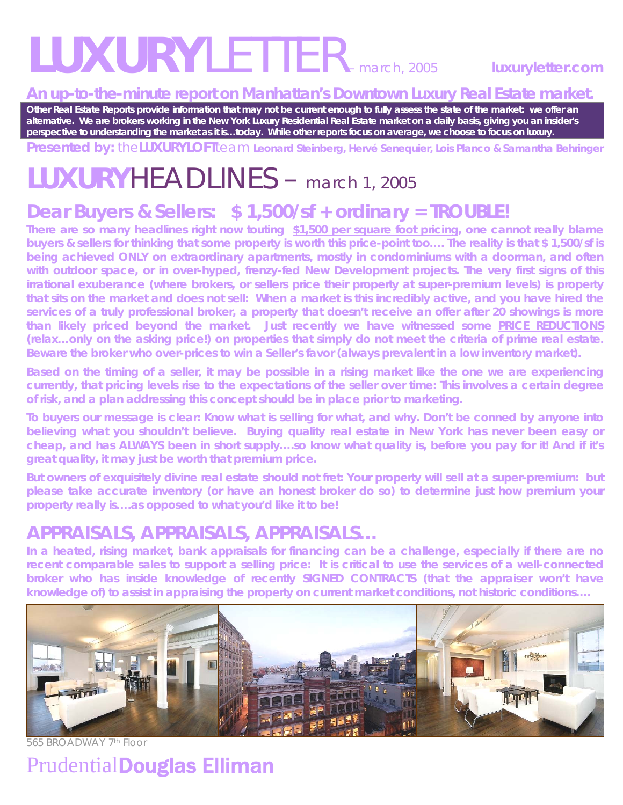# *LUXURYLETTER– march, 2005* **luxuryletter.com**

#### **An up-to-the-minute report on Manhattan's Downtown Luxury Real Estate market.**

**Other Real Estate Reports provide information that may not be current enough to fully assess the state of the market: we offer an alternative. We are brokers working in the New York Luxury Residential Real Estate market on a daily basis, giving you an insider's perspective to understanding the market as it is…today. While other reports focus on average, we choose to focus on luxury.** 

**Presented by:** the**LUXURYLOFT**team **Leonard Steinberg, Hervé Senequier, Lois Planco & Samantha Behringer** 

## **LUXURY***HEADLINES –* march 1, 2005

## **Dear Buyers & Sellers: \$ 1,500/sf + ordinary =** *TROUBLE!***<br>There are so many headlines right now touting \$1,500 per square foot pricing, one cannot really blame**

**buyers & sellers for thinking that some property is worth this price-point too…. The reality is that \$ 1,500/sf is being achieved ONLY on extraordinary apartments, mostly in condominiums with a doorman, and often**  with outdoor space, or in over-hyped, frenzy-fed New Development projects. The very first signs of this **irrational exuberance (where brokers, or sellers price their property at super-premium levels) is property that sits on the market and does not sell: When a market is this incredibly active, and you have hired the services of a truly professional broker, a property that doesn't receive an offer after 20 showings is more than likely priced beyond the market. Just recently we have witnessed some** *PRICE REDUCTIONS*  **(relax…only on the** *asking* **price!) on properties that simply do not meet the criteria of** *prime* **real estate. Beware the broker who over-prices to win a Seller's favor (always prevalent in a low inventory market).** 

**Based on the timing of a seller, it may be possible in a rising market like the one we are experiencing currently, that pricing levels rise to the expectations of the seller over time: This involves a certain degree of risk, and a plan addressing this concept should be in place prior to marketing.** 

**To buyers our message is clear: Know what is selling for what, and why. Don't be conned by anyone into believing what you shouldn't believe. Buying quality real estate in New York has never been easy or cheap, and has ALWAYS been in short supply….so know what quality is, before you pay for it! And if it's great quality, it may just be worth that premium price.** 

**But owners of exquisitely divine real estate should not fret: Your property will sell at a super-premium: but please take accurate inventory (or have an honest broker do so) to determine just how premium your property really is….as opposed to what you'd like it to be!** 

### **APPRAISALS, APPRAISALS, APPRAISALS…**

**In a heated, rising market, bank appraisals for financing can be a challenge, especially if there are no recent comparable sales to support a selling price: It is critical to use the services of a well-connected broker who has inside knowledge of recently SIGNED CONTRACTS (that the appraiser won't have knowledge of) to assist in appraising the property on current market conditions, not** *historic* **conditions….** 



565 BROADWAY 7th Floor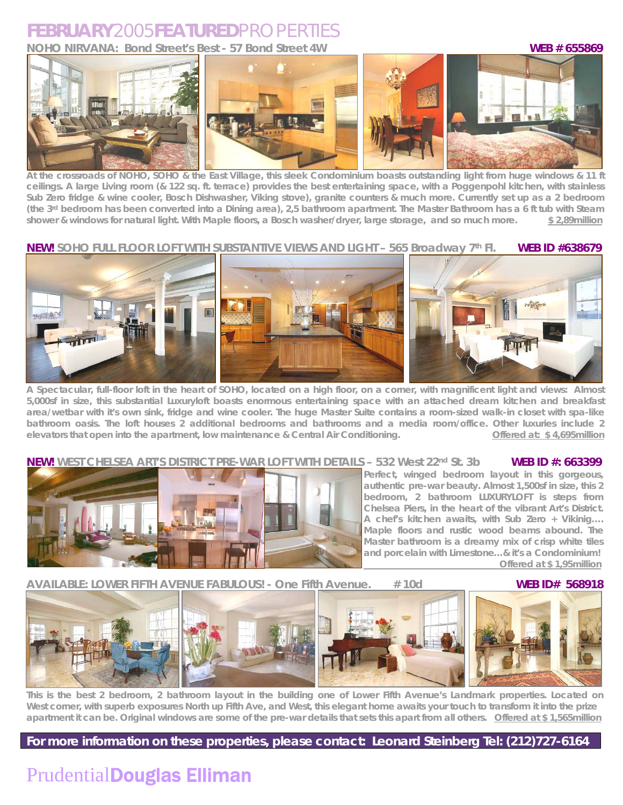### **FEBRUARY***2005***FEATURED***PROPERTIES*

**NOHO NIRVANA: Bond Street's Best - 57 Bond Street 4W WEB # 655869** 



crossroads of NOHO, SOHO & the East Village, this sleek Condominium boasts outstanding light from huge windows & **ceilings. A large Living room (& 122 sq. ft. terrace) provides the best entertaining space, with a Poggenpohl kitchen, with stainless Sub Zero fridge & wine cooler, Bosch Dishwasher, Viking stove), granite counters & much more. Currently set up as a 2 bedroom (the 3rd bedroom has been converted into a Dining area), 2,5 bathroom apartment. The Master Bathroom has a 6 ft tub with Steam shower & windows for natural light. With Maple floors, a Bosch washer/dryer, large storage, and so much more. \$ 2,89million**

#### **NEW!** SOHO FULL FLOOR LOFT WITH SUBSTANTIVE VIEWS AND LIGHT - 565 Broadway 7th Fl. WEB ID #638679



**A Spectacular, full-floor loft in the heart of SOHO, located on a high floor, on a corner, with magnificent light and views: Almost 5,000sf in size, this substantial Luxuryloft boasts enormous entertaining space with an attached dream kitchen and breakfast area/wetbar with it's own sink, fridge and wine cooler. The huge Master Suite contains a room-sized walk-in closet with spa-like bathroom oasis. The loft houses 2 additional bedrooms and bathrooms and a media room/office. Other luxuries include 2 elevators that open into the apartment, low maintenance & Central Air Conditioning.** Offered at: \$4,695million

#### **NEW!** WEST CHELSEA ART'S DISTRICT PRE-WAR LOFT WITH DETAILS – 532 West 22<sup>nd</sup> St. 3b WEB ID #: 663399



**Perfect, winged bedroom layout in this gorgeous, authentic pre-war beauty. Almost 1,500sf in size, this 2 bedroom, 2 bathroom LUXURYLOFT is steps from Chelsea Piers, in the heart of the vibrant Art's District. A chef's kitchen awaits, with Sub Zero + Vikinig…. Maple floors and rustic wood beams abound. The Master bathroom is a dreamy mix of crisp white tiles and porcelain with Limestone…& it's a Condominium! Offered at \$ 1,95million**

#### **AVAILABLE: LOWER FIFTH AVENUE FABULOUS! - One Fifth Avenue. # 10d WEB ID# 568918**



**This is the best 2 bedroom, 2 bathroom layout in the building one of Lower Fifth Avenue's Landmark properties. Located on West corner, with superb exposures North up Fifth Ave, and West, this elegant home awaits your touch to transform it into the prize apartment it can be. Original windows are some of the pre-war details that sets this apart from all others. Offered at \$ 1,565million** 

**For more information on these properties, please contact: Leonard Steinberg Tel: (212)727-6164**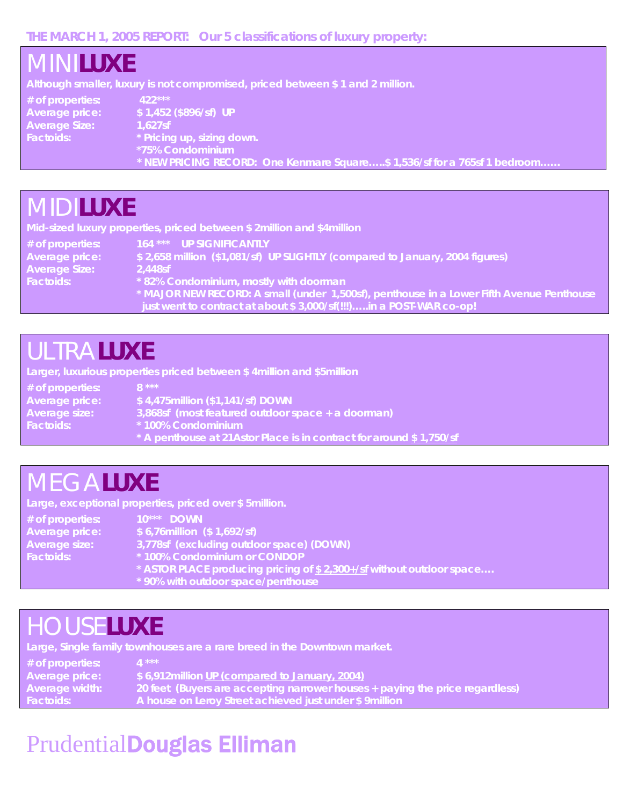#### **THE MARCH 1, 2005 REPORT: Our 5 classifications of luxury property:**

| I <i>MINI</i> LUXE                                                      | Although smaller, luxury is not compromised, priced between \$1 and 2 million.                                                                                               |
|-------------------------------------------------------------------------|------------------------------------------------------------------------------------------------------------------------------------------------------------------------------|
| # of properties:<br>Average price:<br><b>Average Size:</b><br>Factoids: | 422***<br>\$1,452 (\$896/sf) UP<br>$1.627$ sf<br>* Pricing up, sizing down.<br>*75% Condominium<br>* NEW PRICING RECORD: One Kenmare Square\$ 1,536/sf for a 765sf 1 bedroom |
| A <i>AI</i> di <b>Hivi</b> e                                            |                                                                                                                                                                              |

### *MIDI***LUXE**

**Mid-sized luxury properties, priced between \$ 2million and \$4million** 

**# of properties: 164 \*\*\* UP SIGNIFICANTLY**  \$ 2,658 million (\$1,081/sf) UP SLIGHTLY (compared to January, 2004 figures) **Average Size: 2,448sf Factoids: \* 82% Condominium, mostly with doorman \* MAJOR NEW RECORD: A small (under 1,500sf), penthouse in a Lower Fifth Avenue Penthouse just went to contract at about \$ 3,000/sf(!!!)…..in a POST-WAR co-op!** 

### *ULTRA***LUXE**

**Larger, luxurious properties priced between \$ 4million and \$5million** 

| $#$ of properties: | '8 ***,                                                              |
|--------------------|----------------------------------------------------------------------|
| Average price:     | $$4,475$ million $($1,141/sf)$ DOWN                                  |
| Average size:      | 3,868sf (most featured outdoor space + a doorman)                    |
| <b>Factoids:</b>   | * 100% Condominium                                                   |
|                    | * A penthouse at 21 Astor Place is in contract for around \$1,750/sf |

### *MEGA***LUXE**

**Large, exceptional properties, priced over \$ 5million.** 

| # of properties:      | 10*** DOWN                                                           |
|-----------------------|----------------------------------------------------------------------|
| <b>Average price:</b> | $$6,76$ million $($1,692/sf)$                                        |
| <b>Average size:</b>  | 3,778sf (excluding outdoor space) (DOWN)                             |
| Factoids:             | *100% Condominium or CONDOP                                          |
|                       | * ASTOR PLACE producing pricing of \$2,300+/sf without outdoor space |
|                       | * 90% with outdoor space/penthouse                                   |

### *HOUSE***LUXE**

**Large, Single family townhouses are a rare breed in the Downtown market.** 

| $#$ of properties: | <b>1 ***</b>                                                                 |
|--------------------|------------------------------------------------------------------------------|
| Average price:     | \$6,912million UP (compared to January, 2004)                                |
| Average width:     | 20 feet (Buyers are accepting narrower houses + paying the price regardless) |
| Factoids:          | A house on Leroy Street achieved just under \$9 million                      |
|                    |                                                                              |